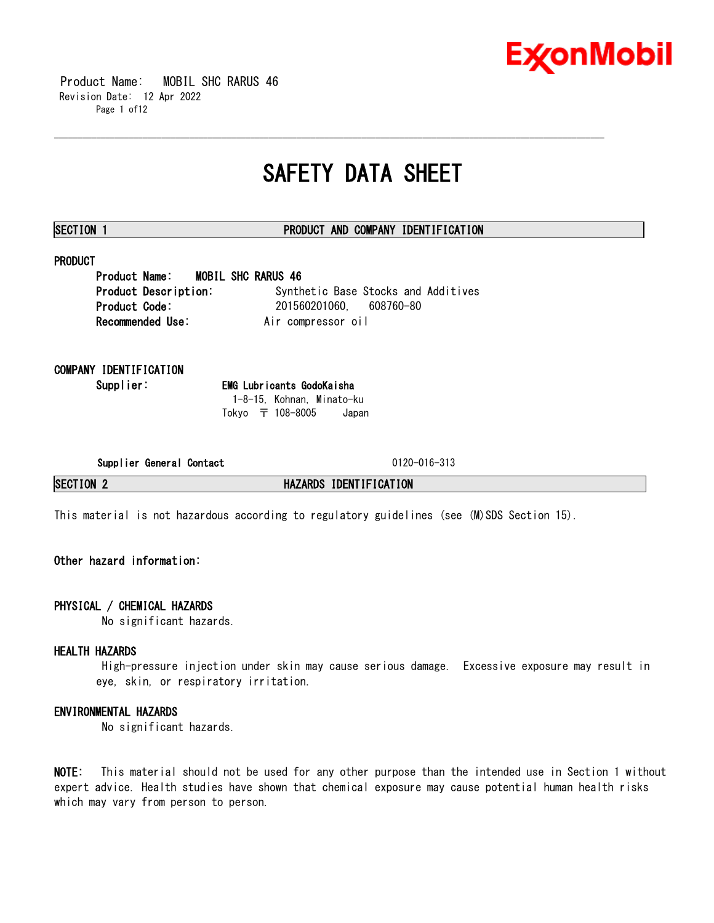

 Product Name: MOBIL SHC RARUS 46 Revision Date: 12 Apr 2022 Page 1 of12

# **SAFETY DATA SHEET**

\_\_\_\_\_\_\_\_\_\_\_\_\_\_\_\_\_\_\_\_\_\_\_\_\_\_\_\_\_\_\_\_\_\_\_\_\_\_\_\_\_\_\_\_\_\_\_\_\_\_\_\_\_\_\_\_\_\_\_\_\_\_\_\_\_\_\_\_\_\_\_\_\_\_\_\_\_\_\_\_\_\_\_\_\_\_\_\_\_\_\_\_\_\_\_\_\_\_\_\_\_\_\_\_\_\_\_\_\_\_\_\_\_\_\_\_\_\_

# **SECTION 1 PRODUCT AND COMPANY IDENTIFICATION**

# **PRODUCT**

**Product Name: MOBIL SHC RARUS 46 Product Description:** Synthetic Base Stocks and Additives **Product Code:** 201560201060, 608760-80 **Recommended Use:** Air compressor oil

**COMPANY IDENTIFICATION**

**Supplier: EMG Lubricants GodoKaisha** 1-8-15, Kohnan, Minato-ku Tokyo 〒 108-8005 Japan

**Supplier General Contact** 0120-016-313

**SECTION 2 HAZARDS IDENTIFICATION**

This material is not hazardous according to regulatory guidelines (see (M)SDS Section 15).

# **Other hazard information:**

# **PHYSICAL / CHEMICAL HAZARDS**

No significant hazards.

# **HEALTH HAZARDS**

High-pressure injection under skin may cause serious damage. Excessive exposure may result in eye, skin, or respiratory irritation.

# **ENVIRONMENTAL HAZARDS**

No significant hazards.

**NOTE:** This material should not be used for any other purpose than the intended use in Section 1 without expert advice. Health studies have shown that chemical exposure may cause potential human health risks which may vary from person to person.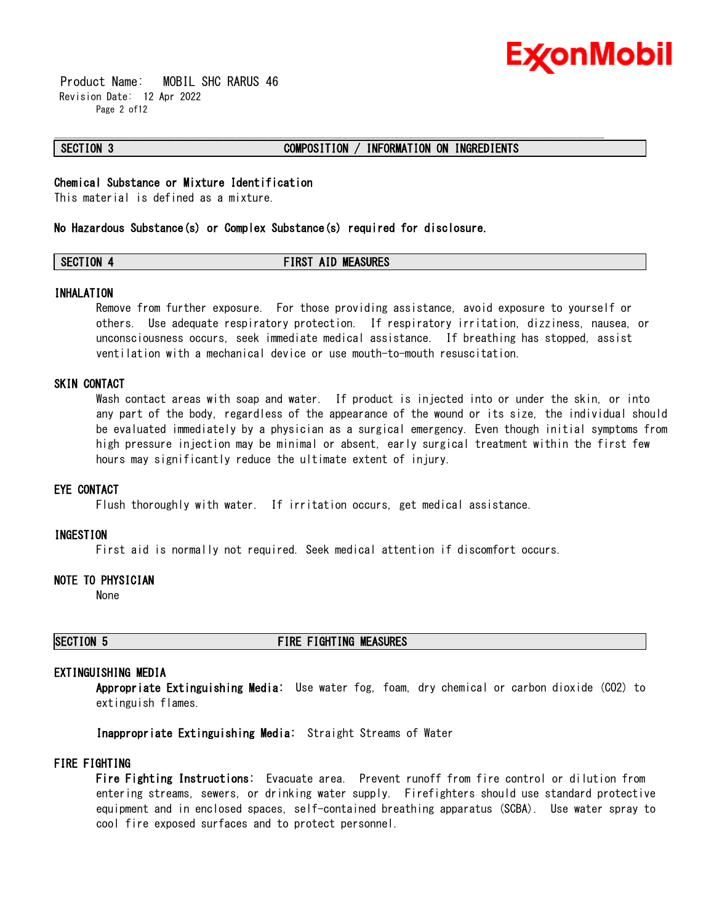

 Product Name: MOBIL SHC RARUS 46 Revision Date: 12 Apr 2022 Page 2 of12

# **SECTION 3 COMPOSITION / INFORMATION ON INGREDIENTS**

# **Chemical Substance or Mixture Identification**

This material is defined as a mixture.

### **No Hazardous Substance(s) or Complex Substance(s) required for disclosure.**

# **SECTION 4 FIRST AID MEASURES**

\_\_\_\_\_\_\_\_\_\_\_\_\_\_\_\_\_\_\_\_\_\_\_\_\_\_\_\_\_\_\_\_\_\_\_\_\_\_\_\_\_\_\_\_\_\_\_\_\_\_\_\_\_\_\_\_\_\_\_\_\_\_\_\_\_\_\_\_\_\_\_\_\_\_\_\_\_\_\_\_\_\_\_\_\_\_\_\_\_\_\_\_\_\_\_\_\_\_\_\_\_\_\_\_\_\_\_\_\_\_\_\_\_\_\_\_\_\_

### **INHALATION**

Remove from further exposure. For those providing assistance, avoid exposure to yourself or others. Use adequate respiratory protection. If respiratory irritation, dizziness, nausea, or unconsciousness occurs, seek immediate medical assistance. If breathing has stopped, assist ventilation with a mechanical device or use mouth-to-mouth resuscitation.

# **SKIN CONTACT**

Wash contact areas with soap and water. If product is injected into or under the skin, or into any part of the body, regardless of the appearance of the wound or its size, the individual should be evaluated immediately by a physician as a surgical emergency. Even though initial symptoms from high pressure injection may be minimal or absent, early surgical treatment within the first few hours may significantly reduce the ultimate extent of injury.

### **EYE CONTACT**

Flush thoroughly with water. If irritation occurs, get medical assistance.

### **INGESTION**

First aid is normally not required. Seek medical attention if discomfort occurs.

# **NOTE TO PHYSICIAN**

None

# **SECTION 5 FIRE FIGHTING MEASURES**

# **EXTINGUISHING MEDIA**

**Appropriate Extinguishing Media:** Use water fog, foam, dry chemical or carbon dioxide (CO2) to extinguish flames.

**Inappropriate Extinguishing Media:** Straight Streams of Water

# **FIRE FIGHTING**

**Fire Fighting Instructions:** Evacuate area. Prevent runoff from fire control or dilution from entering streams, sewers, or drinking water supply. Firefighters should use standard protective equipment and in enclosed spaces, self-contained breathing apparatus (SCBA). Use water spray to cool fire exposed surfaces and to protect personnel.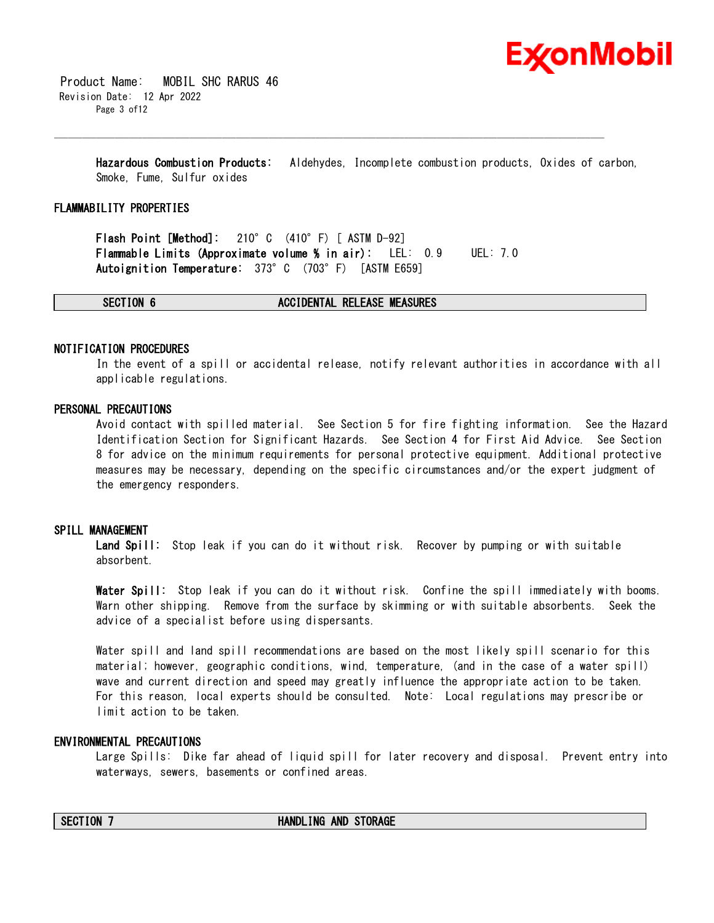

 Product Name: MOBIL SHC RARUS 46 Revision Date: 12 Apr 2022 Page 3 of12

> **Hazardous Combustion Products:** Aldehydes, Incomplete combustion products, Oxides of carbon, Smoke, Fume, Sulfur oxides

\_\_\_\_\_\_\_\_\_\_\_\_\_\_\_\_\_\_\_\_\_\_\_\_\_\_\_\_\_\_\_\_\_\_\_\_\_\_\_\_\_\_\_\_\_\_\_\_\_\_\_\_\_\_\_\_\_\_\_\_\_\_\_\_\_\_\_\_\_\_\_\_\_\_\_\_\_\_\_\_\_\_\_\_\_\_\_\_\_\_\_\_\_\_\_\_\_\_\_\_\_\_\_\_\_\_\_\_\_\_\_\_\_\_\_\_\_\_

## **FLAMMABILITY PROPERTIES**

**Flash Point [Method]:** 210°C (410°F) [ ASTM D-92] **Flammable Limits (Approximate volume % in air):** LEL: 0.9 UEL: 7.0 **Autoignition Temperature:** 373°C (703°F) [ASTM E659]

**SECTION 6 ACCIDENTAL RELEASE MEASURES**

## **NOTIFICATION PROCEDURES**

In the event of a spill or accidental release, notify relevant authorities in accordance with all applicable regulations.

# **PERSONAL PRECAUTIONS**

Avoid contact with spilled material. See Section 5 for fire fighting information. See the Hazard Identification Section for Significant Hazards. See Section 4 for First Aid Advice. See Section 8 for advice on the minimum requirements for personal protective equipment. Additional protective measures may be necessary, depending on the specific circumstances and/or the expert judgment of the emergency responders.

## **SPILL MANAGEMENT**

**Land Spill:** Stop leak if you can do it without risk. Recover by pumping or with suitable absorbent.

**Water Spill:** Stop leak if you can do it without risk. Confine the spill immediately with booms. Warn other shipping. Remove from the surface by skimming or with suitable absorbents. Seek the advice of a specialist before using dispersants.

Water spill and land spill recommendations are based on the most likely spill scenario for this material; however, geographic conditions, wind, temperature, (and in the case of a water spill) wave and current direction and speed may greatly influence the appropriate action to be taken. For this reason, local experts should be consulted. Note: Local regulations may prescribe or limit action to be taken.

# **ENVIRONMENTAL PRECAUTIONS**

Large Spills: Dike far ahead of liquid spill for later recovery and disposal. Prevent entry into waterways, sewers, basements or confined areas.

### **SECTION 7 HANDLING AND STORAGE**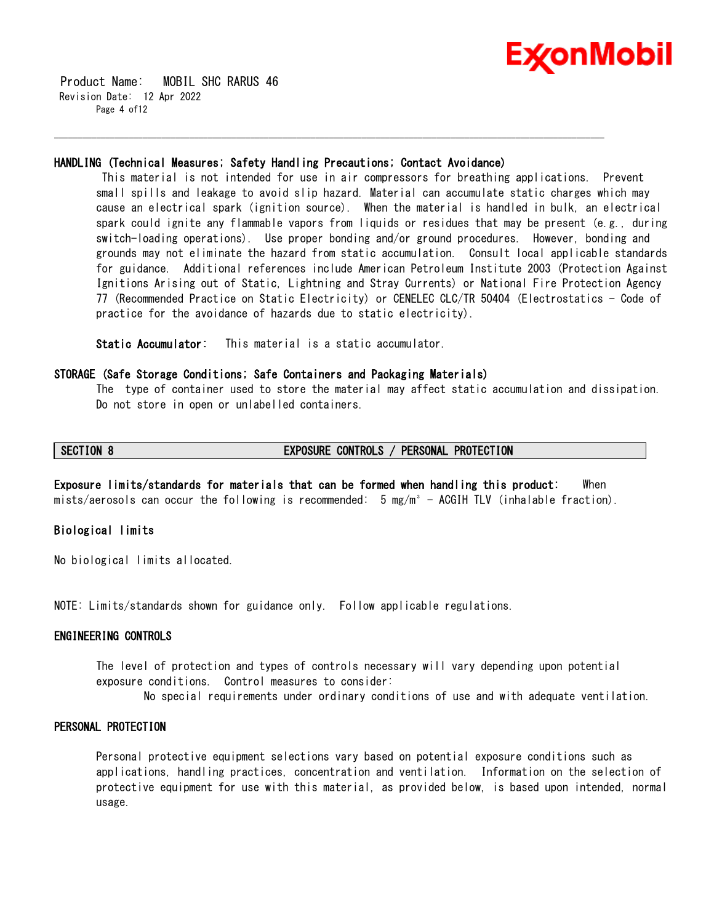

 Product Name: MOBIL SHC RARUS 46 Revision Date: 12 Apr 2022 Page 4 of12

## **HANDLING (Technical Measures; Safety Handling Precautions; Contact Avoidance)**

\_\_\_\_\_\_\_\_\_\_\_\_\_\_\_\_\_\_\_\_\_\_\_\_\_\_\_\_\_\_\_\_\_\_\_\_\_\_\_\_\_\_\_\_\_\_\_\_\_\_\_\_\_\_\_\_\_\_\_\_\_\_\_\_\_\_\_\_\_\_\_\_\_\_\_\_\_\_\_\_\_\_\_\_\_\_\_\_\_\_\_\_\_\_\_\_\_\_\_\_\_\_\_\_\_\_\_\_\_\_\_\_\_\_\_\_\_\_

This material is not intended for use in air compressors for breathing applications. Prevent small spills and leakage to avoid slip hazard. Material can accumulate static charges which may cause an electrical spark (ignition source). When the material is handled in bulk, an electrical spark could ignite any flammable vapors from liquids or residues that may be present (e.g., during switch-loading operations). Use proper bonding and/or ground procedures. However, bonding and grounds may not eliminate the hazard from static accumulation. Consult local applicable standards for guidance. Additional references include American Petroleum Institute 2003 (Protection Against Ignitions Arising out of Static, Lightning and Stray Currents) or National Fire Protection Agency 77 (Recommended Practice on Static Electricity) or CENELEC CLC/TR 50404 (Electrostatics - Code of practice for the avoidance of hazards due to static electricity).

**Static Accumulator:** This material is a static accumulator.

# **STORAGE (Safe Storage Conditions; Safe Containers and Packaging Materials)**

The type of container used to store the material may affect static accumulation and dissipation. Do not store in open or unlabelled containers.

# **SECTION 8 EXPOSURE CONTROLS / PERSONAL PROTECTION**

**Exposure limits/standards for materials that can be formed when handling this product:** When mists/aerosols can occur the following is recommended:  $5 \text{ mg/m}^3$  - ACGIH TLV (inhalable fraction).

# **Biological limits**

No biological limits allocated.

NOTE: Limits/standards shown for guidance only. Follow applicable regulations.

# **ENGINEERING CONTROLS**

The level of protection and types of controls necessary will vary depending upon potential exposure conditions. Control measures to consider:

No special requirements under ordinary conditions of use and with adequate ventilation.

# **PERSONAL PROTECTION**

Personal protective equipment selections vary based on potential exposure conditions such as applications, handling practices, concentration and ventilation. Information on the selection of protective equipment for use with this material, as provided below, is based upon intended, normal usage.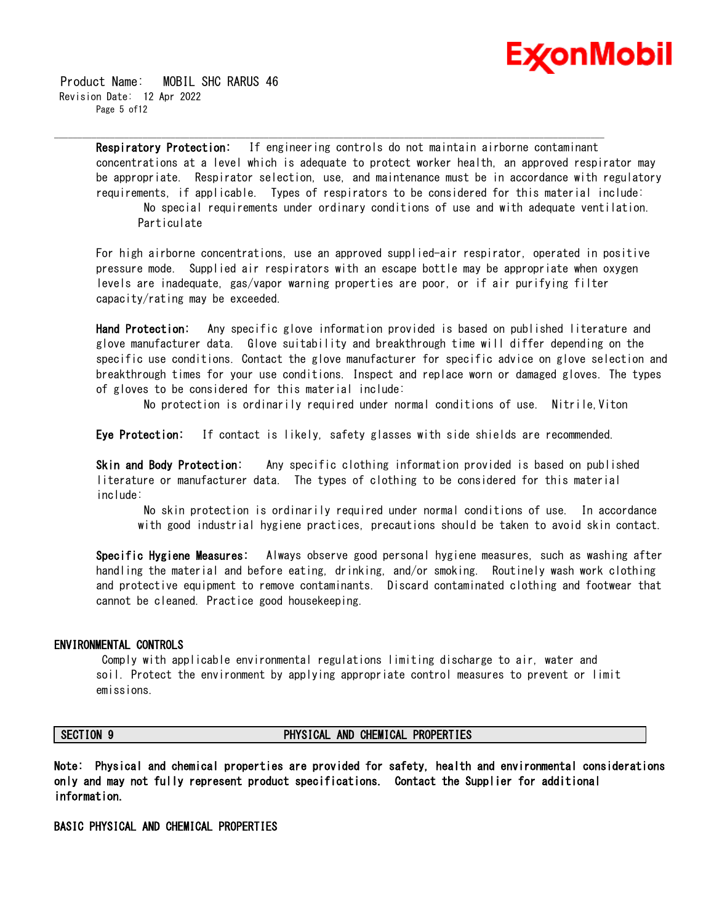

 Product Name: MOBIL SHC RARUS 46 Revision Date: 12 Apr 2022 Page 5 of12

> **Respiratory Protection:** If engineering controls do not maintain airborne contaminant concentrations at a level which is adequate to protect worker health, an approved respirator may be appropriate. Respirator selection, use, and maintenance must be in accordance with regulatory requirements, if applicable. Types of respirators to be considered for this material include: No special requirements under ordinary conditions of use and with adequate ventilation. **Particulate**

\_\_\_\_\_\_\_\_\_\_\_\_\_\_\_\_\_\_\_\_\_\_\_\_\_\_\_\_\_\_\_\_\_\_\_\_\_\_\_\_\_\_\_\_\_\_\_\_\_\_\_\_\_\_\_\_\_\_\_\_\_\_\_\_\_\_\_\_\_\_\_\_\_\_\_\_\_\_\_\_\_\_\_\_\_\_\_\_\_\_\_\_\_\_\_\_\_\_\_\_\_\_\_\_\_\_\_\_\_\_\_\_\_\_\_\_\_\_

For high airborne concentrations, use an approved supplied-air respirator, operated in positive pressure mode. Supplied air respirators with an escape bottle may be appropriate when oxygen levels are inadequate, gas/vapor warning properties are poor, or if air purifying filter capacity/rating may be exceeded.

**Hand Protection:** Any specific glove information provided is based on published literature and glove manufacturer data. Glove suitability and breakthrough time will differ depending on the specific use conditions. Contact the glove manufacturer for specific advice on glove selection and breakthrough times for your use conditions. Inspect and replace worn or damaged gloves. The types of gloves to be considered for this material include:

No protection is ordinarily required under normal conditions of use. Nitrile,Viton

**Eye Protection:** If contact is likely, safety glasses with side shields are recommended.

**Skin and Body Protection:** Any specific clothing information provided is based on published literature or manufacturer data. The types of clothing to be considered for this material include:

No skin protection is ordinarily required under normal conditions of use. In accordance with good industrial hygiene practices, precautions should be taken to avoid skin contact.

**Specific Hygiene Measures:** Always observe good personal hygiene measures, such as washing after handling the material and before eating, drinking, and/or smoking. Routinely wash work clothing and protective equipment to remove contaminants. Discard contaminated clothing and footwear that cannot be cleaned. Practice good housekeeping.

## **ENVIRONMENTAL CONTROLS**

Comply with applicable environmental regulations limiting discharge to air, water and soil. Protect the environment by applying appropriate control measures to prevent or limit emissions.

### **SECTION 9 PHYSICAL AND CHEMICAL PROPERTIES**

**Note: Physical and chemical properties are provided for safety, health and environmental considerations only and may not fully represent product specifications. Contact the Supplier for additional information.**

**BASIC PHYSICAL AND CHEMICAL PROPERTIES**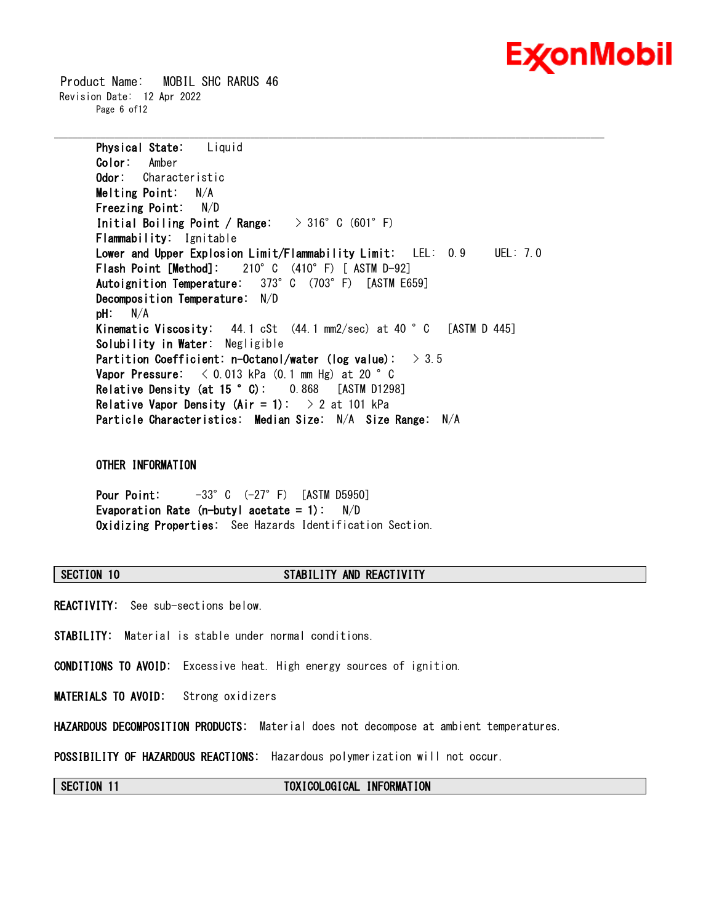# ExconMobil

 Product Name: MOBIL SHC RARUS 46 Revision Date: 12 Apr 2022 Page 6 of12

> **Physical State:** Liquid **Color:** Amber **Odor:** Characteristic **Melting Point:** N/A **Freezing Point:** N/D **Initial Boiling Point / Range:** > 316°C (601°F) **Flammability:** Ignitable **Lower and Upper Explosion Limit/Flammability Limit:** LEL: 0.9 UEL: 7.0 **Flash Point [Method]:** 210°C (410°F) [ ASTM D-92] **Autoignition Temperature:** 373°C (703°F) [ASTM E659] **Decomposition Temperature:** N/D **pH:** N/A **Kinematic Viscosity:** 44.1 cSt (44.1 mm2/sec) at 40 °C [ASTM D 445] **Solubility in Water:** Negligible **Partition Coefficient: n-Octanol/water (log value):** > 3.5 **Vapor Pressure:** < 0.013 kPa (0.1 mm Hg) at 20 °C **Relative Density (at 15 °C):** 0.868 [ASTM D1298] **Relative Vapor Density (Air = 1):** > 2 at 101 kPa **Particle Characteristics: Median Size:** N/A **Size Range:** N/A

\_\_\_\_\_\_\_\_\_\_\_\_\_\_\_\_\_\_\_\_\_\_\_\_\_\_\_\_\_\_\_\_\_\_\_\_\_\_\_\_\_\_\_\_\_\_\_\_\_\_\_\_\_\_\_\_\_\_\_\_\_\_\_\_\_\_\_\_\_\_\_\_\_\_\_\_\_\_\_\_\_\_\_\_\_\_\_\_\_\_\_\_\_\_\_\_\_\_\_\_\_\_\_\_\_\_\_\_\_\_\_\_\_\_\_\_\_\_

# **OTHER INFORMATION**

**Pour Point:** -33°C (-27°F) [ASTM D5950] **Evaporation Rate (n-butyl acetate = 1):** N/D **Oxidizing Properties:** See Hazards Identification Section.

# **SECTION 10 STABILITY AND REACTIVITY**

**REACTIVITY:** See sub-sections below.

**STABILITY:** Material is stable under normal conditions.

**CONDITIONS TO AVOID:** Excessive heat. High energy sources of ignition.

**MATERIALS TO AVOID:** Strong oxidizers

**HAZARDOUS DECOMPOSITION PRODUCTS:** Material does not decompose at ambient temperatures.

**POSSIBILITY OF HAZARDOUS REACTIONS:** Hazardous polymerization will not occur.

**SECTION 11 TOXICOLOGICAL INFORMATION**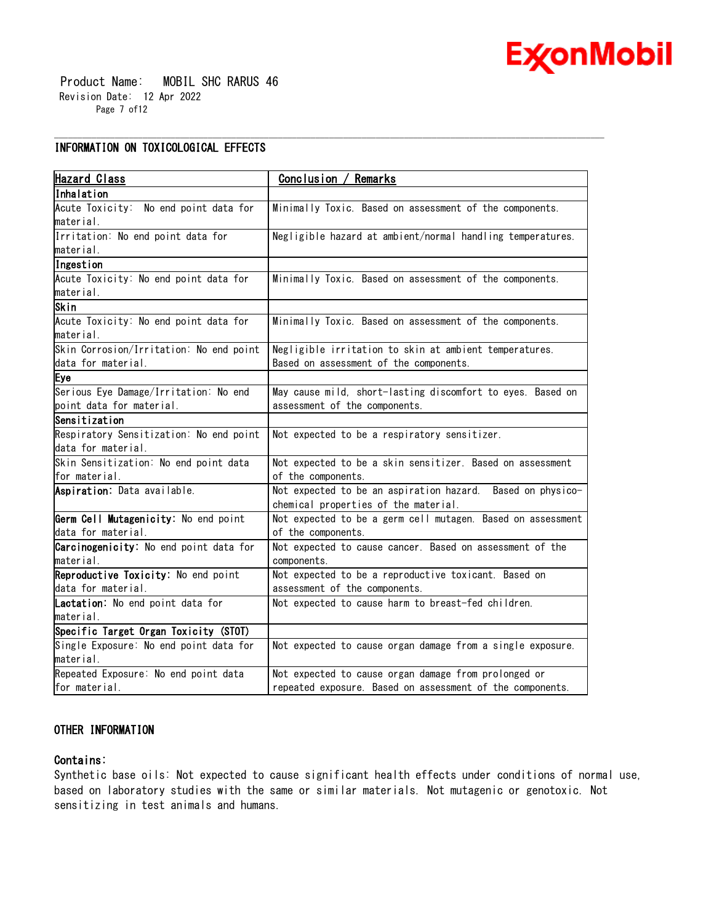

 Product Name: MOBIL SHC RARUS 46 Revision Date: 12 Apr 2022 Page 7 of12

# **INFORMATION ON TOXICOLOGICAL EFFECTS**

| <b>Hazard Class</b>                     | Conclusion / Remarks                                        |  |  |
|-----------------------------------------|-------------------------------------------------------------|--|--|
| lInhalation                             |                                                             |  |  |
| Acute Toxicity: No end point data for   | Minimally Toxic. Based on assessment of the components.     |  |  |
| material.                               |                                                             |  |  |
| Irritation: No end point data for       | Negligible hazard at ambient/normal handling temperatures.  |  |  |
| lmaterial.                              |                                                             |  |  |
| Ingestion                               |                                                             |  |  |
| Acute Toxicity: No end point data for   | Minimally Toxic. Based on assessment of the components.     |  |  |
| material.                               |                                                             |  |  |
| Skin                                    |                                                             |  |  |
| Acute Toxicity: No end point data for   | Minimally Toxic. Based on assessment of the components.     |  |  |
| material.                               |                                                             |  |  |
| Skin Corrosion/Irritation: No end point | Negligible irritation to skin at ambient temperatures.      |  |  |
| data for material.                      | Based on assessment of the components.                      |  |  |
| Eye                                     |                                                             |  |  |
| Serious Eye Damage/Irritation: No end   | May cause mild, short-lasting discomfort to eyes. Based on  |  |  |
| point data for material.                | assessment of the components.                               |  |  |
| Sensitization                           |                                                             |  |  |
| Respiratory Sensitization: No end point | Not expected to be a respiratory sensitizer.                |  |  |
| data for material.                      |                                                             |  |  |
| Skin Sensitization: No end point data   | Not expected to be a skin sensitizer. Based on assessment   |  |  |
| for material.                           | of the components.                                          |  |  |
| Aspiration: Data available.             | Not expected to be an aspiration hazard. Based on physico-  |  |  |
|                                         | chemical properties of the material.                        |  |  |
| Germ Cell Mutagenicity: No end point    | Not expected to be a germ cell mutagen. Based on assessment |  |  |
| data for material.                      | of the components.                                          |  |  |
| Carcinogenicity: No end point data for  | Not expected to cause cancer. Based on assessment of the    |  |  |
| material.                               | components.                                                 |  |  |
| Reproductive Toxicity: No end point     | Not expected to be a reproductive toxicant. Based on        |  |  |
| data for material.                      | assessment of the components.                               |  |  |
| Lactation: No end point data for        | Not expected to cause harm to breast-fed children.          |  |  |
| material.                               |                                                             |  |  |
| Specific Target Organ Toxicity (STOT)   |                                                             |  |  |
| Single Exposure: No end point data for  | Not expected to cause organ damage from a single exposure.  |  |  |
| material.                               |                                                             |  |  |
| Repeated Exposure: No end point data    | Not expected to cause organ damage from prolonged or        |  |  |
| for material.                           | repeated exposure. Based on assessment of the components.   |  |  |

\_\_\_\_\_\_\_\_\_\_\_\_\_\_\_\_\_\_\_\_\_\_\_\_\_\_\_\_\_\_\_\_\_\_\_\_\_\_\_\_\_\_\_\_\_\_\_\_\_\_\_\_\_\_\_\_\_\_\_\_\_\_\_\_\_\_\_\_\_\_\_\_\_\_\_\_\_\_\_\_\_\_\_\_\_\_\_\_\_\_\_\_\_\_\_\_\_\_\_\_\_\_\_\_\_\_\_\_\_\_\_\_\_\_\_\_\_\_

# **OTHER INFORMATION**

## **Contains:**

Synthetic base oils: Not expected to cause significant health effects under conditions of normal use, based on laboratory studies with the same or similar materials. Not mutagenic or genotoxic. Not sensitizing in test animals and humans.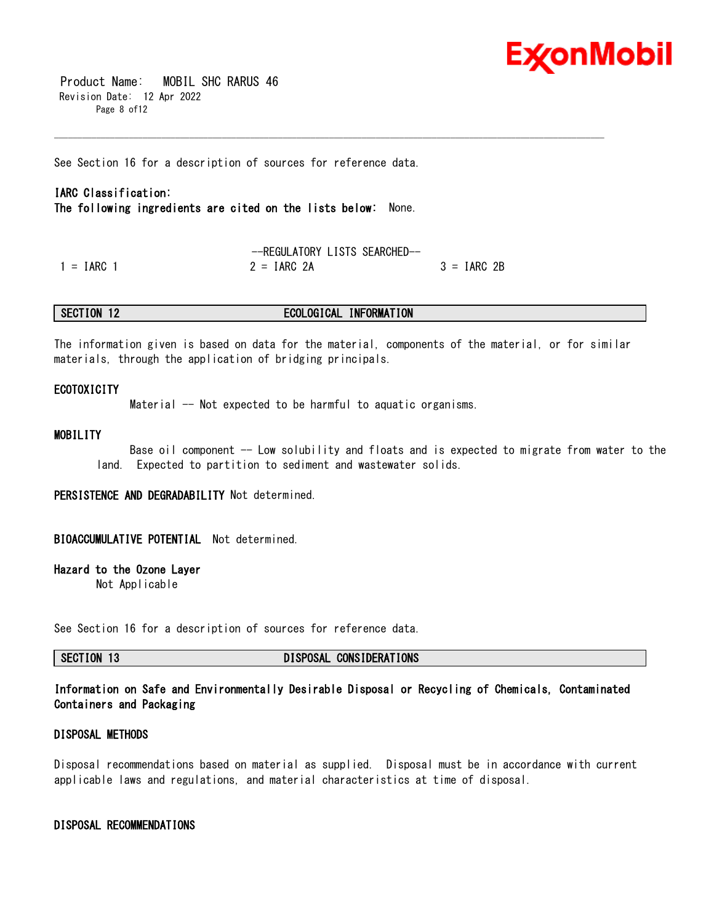

 Product Name: MOBIL SHC RARUS 46 Revision Date: 12 Apr 2022 Page 8 of12

See Section 16 for a description of sources for reference data.

# **IARC Classification:**

**The following ingredients are cited on the lists below:** None.

--REGULATORY LISTS SEARCHED--  $1 = IARC$  1  $2 = IARC$  2A  $3 = IARC$  2B

### **SECTION 12 ECOLOGICAL INFORMATION**

The information given is based on data for the material, components of the material, or for similar materials, through the application of bridging principals.

\_\_\_\_\_\_\_\_\_\_\_\_\_\_\_\_\_\_\_\_\_\_\_\_\_\_\_\_\_\_\_\_\_\_\_\_\_\_\_\_\_\_\_\_\_\_\_\_\_\_\_\_\_\_\_\_\_\_\_\_\_\_\_\_\_\_\_\_\_\_\_\_\_\_\_\_\_\_\_\_\_\_\_\_\_\_\_\_\_\_\_\_\_\_\_\_\_\_\_\_\_\_\_\_\_\_\_\_\_\_\_\_\_\_\_\_\_\_

## **ECOTOXICITY**

Material -- Not expected to be harmful to aquatic organisms.

# **MOBILITY**

 Base oil component -- Low solubility and floats and is expected to migrate from water to the land. Expected to partition to sediment and wastewater solids.

**PERSISTENCE AND DEGRADABILITY** Not determined.

# **BIOACCUMULATIVE POTENTIAL** Not determined.

# **Hazard to the Ozone Layer**

Not Applicable

See Section 16 for a description of sources for reference data.

**SECTION 13 DISPOSAL CONSIDERATIONS**

# **Information on Safe and Environmentally Desirable Disposal or Recycling of Chemicals, Contaminated Containers and Packaging**

# **DISPOSAL METHODS**

Disposal recommendations based on material as supplied. Disposal must be in accordance with current applicable laws and regulations, and material characteristics at time of disposal.

## **DISPOSAL RECOMMENDATIONS**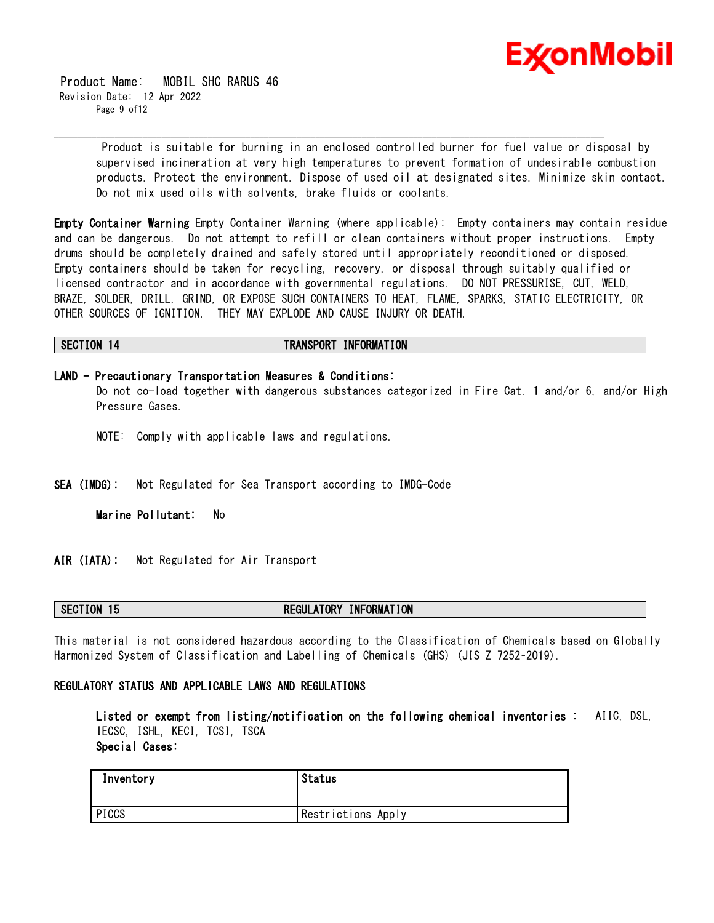

 Product Name: MOBIL SHC RARUS 46 Revision Date: 12 Apr 2022 Page 9 of12

> Product is suitable for burning in an enclosed controlled burner for fuel value or disposal by supervised incineration at very high temperatures to prevent formation of undesirable combustion products. Protect the environment. Dispose of used oil at designated sites. Minimize skin contact. Do not mix used oils with solvents, brake fluids or coolants.

**Empty Container Warning** Empty Container Warning (where applicable): Empty containers may contain residue and can be dangerous. Do not attempt to refill or clean containers without proper instructions. Empty drums should be completely drained and safely stored until appropriately reconditioned or disposed. Empty containers should be taken for recycling, recovery, or disposal through suitably qualified or licensed contractor and in accordance with governmental regulations. DO NOT PRESSURISE, CUT, WELD, BRAZE, SOLDER, DRILL, GRIND, OR EXPOSE SUCH CONTAINERS TO HEAT, FLAME, SPARKS, STATIC ELECTRICITY, OR OTHER SOURCES OF IGNITION. THEY MAY EXPLODE AND CAUSE INJURY OR DEATH.

## **SECTION 14 TRANSPORT INFORMATION**

\_\_\_\_\_\_\_\_\_\_\_\_\_\_\_\_\_\_\_\_\_\_\_\_\_\_\_\_\_\_\_\_\_\_\_\_\_\_\_\_\_\_\_\_\_\_\_\_\_\_\_\_\_\_\_\_\_\_\_\_\_\_\_\_\_\_\_\_\_\_\_\_\_\_\_\_\_\_\_\_\_\_\_\_\_\_\_\_\_\_\_\_\_\_\_\_\_\_\_\_\_\_\_\_\_\_\_\_\_\_\_\_\_\_\_\_\_\_

**LAND - Precautionary Transportation Measures & Conditions:** Do not co-load together with dangerous substances categorized in Fire Cat. 1 and/or 6, and/or High Pressure Gases.

- NOTE: Comply with applicable laws and regulations.
- **SEA (IMDG):** Not Regulated for Sea Transport according to IMDG-Code

**Marine Pollutant:** No

**AIR (IATA):** Not Regulated for Air Transport

# **SECTION 15 REGULATORY INFORMATION**

This material is not considered hazardous according to the Classification of Chemicals based on Globally Harmonized System of Classification and Labelling of Chemicals (GHS) (JIS Z 7252–2019).

# **REGULATORY STATUS AND APPLICABLE LAWS AND REGULATIONS**

**Listed or exempt from listing/notification on the following chemical inventories :** AIIC, DSL, IECSC, ISHL, KECI, TCSI, TSCA **Special Cases:**

| Inventory | Status             |
|-----------|--------------------|
| PICCS     | Restrictions Apply |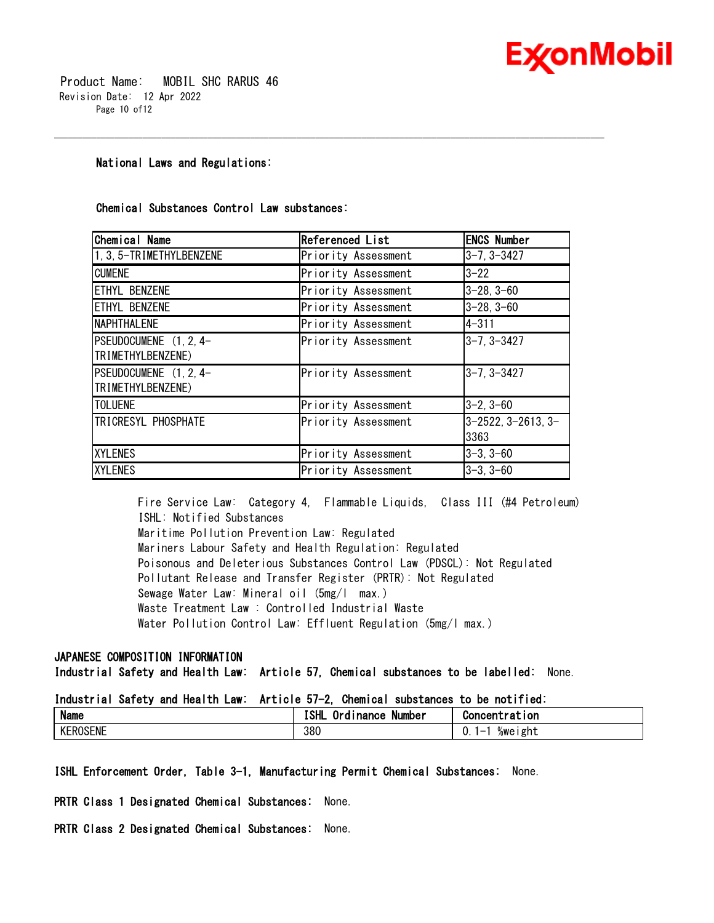

 Product Name: MOBIL SHC RARUS 46 Revision Date: 12 Apr 2022 Page 10 of12

# **National Laws and Regulations:**

# **Chemical Substances Control Law substances:**

| <b>Chemical Name</b>     | Referenced List     | <b>ENCS Number</b>              |
|--------------------------|---------------------|---------------------------------|
| 1, 3, 5-TRIMETHYLBENZENE | Priority Assessment | $3 - 7, 3 - 3427$               |
| <b>CUMENE</b>            | Priority Assessment | $3 - 22$                        |
| ETHYL BENZENE            | Priority Assessment | $3 - 28, 3 - 60$                |
| ETHYL BENZENE            | Priority Assessment | $3-28, 3-60$                    |
| <b>NAPHTHALENE</b>       | Priority Assessment | $4 - 311$                       |
| PSEUDOCUMENE (1, 2, 4-   | Priority Assessment | 3-7, 3-3427                     |
| TRIMETHYLBENZENE)        |                     |                                 |
| PSEUDOCUMENE (1, 2, 4-   | Priority Assessment | 3-7, 3-3427                     |
| TRIMETHYLBENZENE)        |                     |                                 |
| <b>TOLUENE</b>           | Priority Assessment | 3-2, 3-60                       |
| TRICRESYL PHOSPHATE      | Priority Assessment | $3 - 2522$ , $3 - 2613$ , $3 -$ |
|                          |                     | 3363                            |
| <b>XYLENES</b>           | Priority Assessment | 3-3, 3-60                       |
| <b>XYLENES</b>           | Priority Assessment | 3-3, 3-60                       |

\_\_\_\_\_\_\_\_\_\_\_\_\_\_\_\_\_\_\_\_\_\_\_\_\_\_\_\_\_\_\_\_\_\_\_\_\_\_\_\_\_\_\_\_\_\_\_\_\_\_\_\_\_\_\_\_\_\_\_\_\_\_\_\_\_\_\_\_\_\_\_\_\_\_\_\_\_\_\_\_\_\_\_\_\_\_\_\_\_\_\_\_\_\_\_\_\_\_\_\_\_\_\_\_\_\_\_\_\_\_\_\_\_\_\_\_\_\_

Fire Service Law: Category 4, Flammable Liquids, Class III (#4 Petroleum) ISHL: Notified Substances Maritime Pollution Prevention Law: Regulated Mariners Labour Safety and Health Regulation: Regulated Poisonous and Deleterious Substances Control Law (PDSCL): Not Regulated Pollutant Release and Transfer Register (PRTR): Not Regulated Sewage Water Law: Mineral oil (5mg/l max.) Waste Treatment Law : Controlled Industrial Waste Water Pollution Control Law: Effluent Regulation (5mg/l max.)

# **JAPANESE COMPOSITION INFORMATION**

**Industrial Safety and Health Law: Article 57, Chemical substances to be labelled:** None.

# **Industrial Safety and Health Law: Article 57-2, Chemical substances to be notified:**

| <b>Name</b>                        | - -<br>70 L P<br>Number<br><b>Inance</b><br>. .<br>O.<br><br>.<br>. . | <b>Concentration</b>                                    |
|------------------------------------|-----------------------------------------------------------------------|---------------------------------------------------------|
| <b>ROSENE</b><br><b>I/F</b><br>.nr | 380                                                                   | σh t<br>‰we<br>$\overline{\phantom{0}}$<br>ם צוונ<br>v. |

# **ISHL Enforcement Order, Table 3-1, Manufacturing Permit Chemical Substances:** None.

**PRTR Class 1 Designated Chemical Substances:** None.

**PRTR Class 2 Designated Chemical Substances:** None.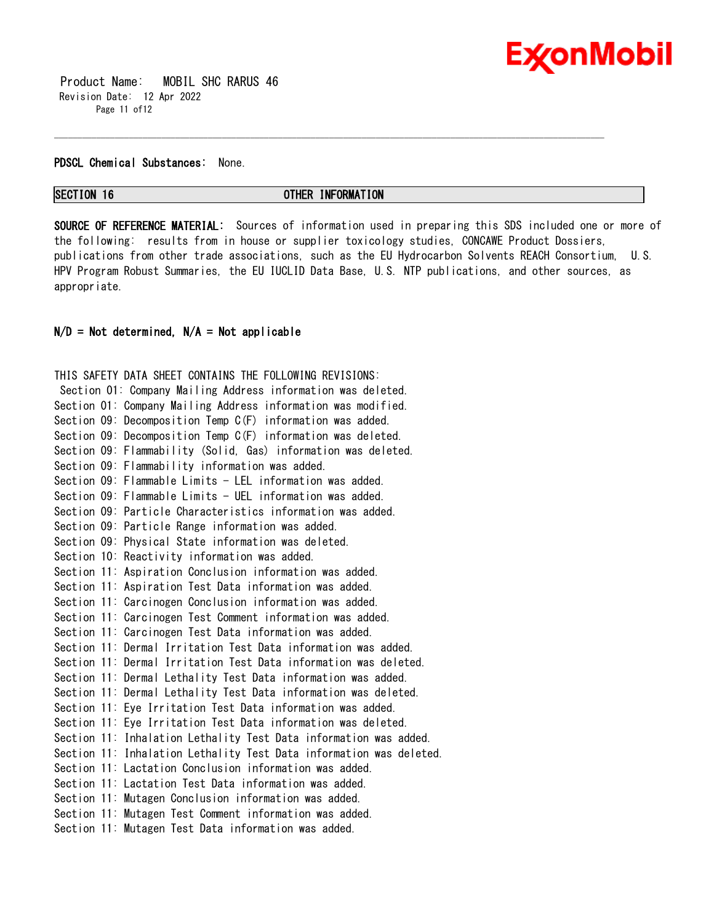

 Product Name: MOBIL SHC RARUS 46 Revision Date: 12 Apr 2022 Page 11 of12

### **PDSCL Chemical Substances:** None.

# **SECTION 16 OTHER INFORMATION**

\_\_\_\_\_\_\_\_\_\_\_\_\_\_\_\_\_\_\_\_\_\_\_\_\_\_\_\_\_\_\_\_\_\_\_\_\_\_\_\_\_\_\_\_\_\_\_\_\_\_\_\_\_\_\_\_\_\_\_\_\_\_\_\_\_\_\_\_\_\_\_\_\_\_\_\_\_\_\_\_\_\_\_\_\_\_\_\_\_\_\_\_\_\_\_\_\_\_\_\_\_\_\_\_\_\_\_\_\_\_\_\_\_\_\_\_\_\_

**SOURCE OF REFERENCE MATERIAL:** Sources of information used in preparing this SDS included one or more of the following: results from in house or supplier toxicology studies, CONCAWE Product Dossiers, publications from other trade associations, such as the EU Hydrocarbon Solvents REACH Consortium, U.S. HPV Program Robust Summaries, the EU IUCLID Data Base, U.S. NTP publications, and other sources, as appropriate.

# **N/D = Not determined, N/A = Not applicable**

THIS SAFETY DATA SHEET CONTAINS THE FOLLOWING REVISIONS: Section 01: Company Mailing Address information was deleted. Section 01: Company Mailing Address information was modified. Section 09: Decomposition Temp C(F) information was added. Section 09: Decomposition Temp C(F) information was deleted. Section 09: Flammability (Solid, Gas) information was deleted. Section 09: Flammability information was added. Section 09: Flammable Limits - LEL information was added. Section 09: Flammable Limits - UEL information was added. Section 09: Particle Characteristics information was added. Section 09: Particle Range information was added. Section 09: Physical State information was deleted. Section 10: Reactivity information was added. Section 11: Aspiration Conclusion information was added. Section 11: Aspiration Test Data information was added. Section 11: Carcinogen Conclusion information was added. Section 11: Carcinogen Test Comment information was added. Section 11: Carcinogen Test Data information was added. Section 11: Dermal Irritation Test Data information was added. Section 11: Dermal Irritation Test Data information was deleted. Section 11: Dermal Lethality Test Data information was added. Section 11: Dermal Lethality Test Data information was deleted. Section 11: Eye Irritation Test Data information was added. Section 11: Eye Irritation Test Data information was deleted. Section 11: Inhalation Lethality Test Data information was added. Section 11: Inhalation Lethality Test Data information was deleted. Section 11: Lactation Conclusion information was added. Section 11: Lactation Test Data information was added. Section 11: Mutagen Conclusion information was added. Section 11: Mutagen Test Comment information was added. Section 11: Mutagen Test Data information was added.